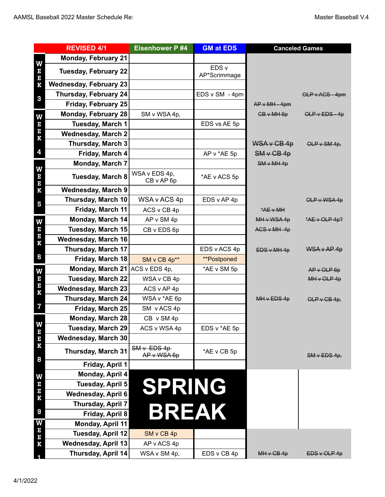| <b>REVISED 4/1</b>                          |                                | <b>Eisenhower P #4</b>        | <b>GM at EDS</b>      | <b>Canceled Games</b> |                    |
|---------------------------------------------|--------------------------------|-------------------------------|-----------------------|-----------------------|--------------------|
| W<br>E<br>E<br>K<br>$\bf{3}$                | <b>Monday, February 21</b>     |                               |                       |                       |                    |
|                                             | <b>Tuesday, February 22</b>    |                               | EDS v<br>AP*Scrimmage |                       |                    |
|                                             | <b>Wednesday, February 23</b>  |                               |                       |                       |                    |
|                                             | Thursday, February 24          |                               | EDS v SM - 4pm        |                       | OLP v ACS - 4pm    |
|                                             | Friday, February 25            |                               |                       | AP v MH - 4pm         |                    |
| W<br>E<br>E<br>K<br>$\overline{\mathbf{4}}$ | <b>Monday, February 28</b>     | SM v WSA 4p,                  |                       | $GB \vee MH6p$        | $OLP$ v $EDS - 4p$ |
|                                             | <b>Tuesday, March 1</b>        |                               | EDS vs AE 5p          |                       |                    |
|                                             | <b>Wednesday, March 2</b>      |                               |                       |                       |                    |
|                                             | Thursday, March 3              |                               |                       | $WSA \vee CB 4p$      | OLP $v$ SM 4p,     |
|                                             | Friday, March 4                |                               | AP v *AE 5p           | SMvGB4p               |                    |
| W<br>E<br>E<br>K<br>5                       | Monday, March 7                |                               |                       | SM v MH 4p            |                    |
|                                             | <b>Tuesday, March 8</b>        | WSA v EDS 4p,<br>CB v AP 6p   | *AE v ACS 5p          |                       |                    |
|                                             | <b>Wednesday, March 9</b>      |                               |                       |                       |                    |
|                                             | Thursday, March 10             | WSA v ACS 4p                  | EDS v AP 4p           |                       | OLP v WSA 4p       |
|                                             | Friday, March 11               | ACS v CB 4p                   |                       | A E V M H             |                    |
| W<br>E<br>E<br>K<br>6                       | Monday, March 14               | AP v SM 4p                    |                       | MH v WSA 4p           | $A E V OLP 4p$ ?   |
|                                             | <b>Tuesday, March 15</b>       | CB v EDS 6p                   |                       | AGS v MH 4p           |                    |
|                                             | <b>Wednesday, March 16</b>     |                               |                       |                       |                    |
|                                             | Thursday, March 17             |                               | EDS v ACS 4p          | EDS v MH 4p           | $WSA \vee AP 4p$   |
|                                             | Friday, March 18               | SM v CB 4p**                  | **Postponed           |                       |                    |
|                                             | Monday, March 21 ACS v EDS 4p, |                               | *AE v SM 5p           |                       | APVOLPGP           |
| W<br>E<br>E<br>K                            | <b>Tuesday, March 22</b>       | WSA v CB 4p                   |                       |                       | MHVOLP4p           |
|                                             | <b>Wednesday, March 23</b>     | ACS v AP 4p                   |                       |                       |                    |
|                                             | Thursday, March 24             | WSA v *AE 6p                  |                       | MHvEDS4p              | OLP $\vee$ CB 4p,  |
| $\mathbf{Z}$                                | Friday, March 25               | SM v ACS 4p                   |                       |                       |                    |
|                                             | <b>Monday, March 28</b>        | CB v SM 4p                    |                       |                       |                    |
|                                             | <b>Tuesday, March 29</b>       | ACS v WSA 4p                  | EDS v *AE 5p          |                       |                    |
| <b>VEEK</b>                                 | <b>Wednesday, March 30</b>     |                               |                       |                       |                    |
| 8                                           | <b>Thursday, March 31</b>      | $SMv$ EDS $4p$<br>AP v WSA 6p | *AE v CB 5p           |                       | $SMv$ EDS 4p,      |
|                                             | Friday, April 1                |                               |                       |                       |                    |
| W<br>E<br>E<br>$\bf K$                      | Monday, April 4                |                               |                       |                       |                    |
|                                             | Tuesday, April 5               | <b>SPRING</b>                 |                       |                       |                    |
|                                             | <b>Wednesday, April 6</b>      |                               |                       |                       |                    |
|                                             | <b>Thursday, April 7</b>       |                               |                       |                       |                    |
| $\boldsymbol{9}$                            | Friday, April 8                | <b>BREAK</b>                  |                       |                       |                    |
| W<br>$\mathbf{E}% _{t}=\mathbf{E}_{t}$      | <b>Monday, April 11</b>        |                               |                       |                       |                    |
| $\mathbf E$                                 | <b>Tuesday, April 12</b>       | SM v CB 4p                    |                       |                       |                    |
| $\bf K$                                     | <b>Wednesday, April 13</b>     | AP v ACS 4p                   |                       |                       |                    |
|                                             | Thursday, April 14             | WSA v SM 4p,                  | EDS v CB 4p           | $MH \vee CB 4p$       | EDS v OLP 4p       |